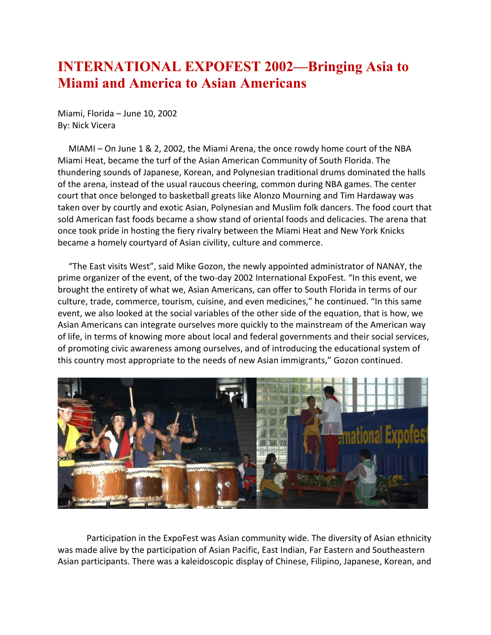## **INTERNATIONAL EXPOFEST 2002—Bringing Asia to Miami and America to Asian Americans**

Miami, Florida – June 10, 2002 By: Nick Vicera

 MIAMI – On June 1 & 2, 2002, the Miami Arena, the once rowdy home court of the NBA Miami Heat, became the turf of the Asian American Community of South Florida. The thundering sounds of Japanese, Korean, and Polynesian traditional drums dominated the halls of the arena, instead of the usual raucous cheering, common during NBA games. The center court that once belonged to basketball greats like Alonzo Mourning and Tim Hardaway was taken over by courtly and exotic Asian, Polynesian and Muslim folk dancers. The food court that sold American fast foods became a show stand of oriental foods and delicacies. The arena that once took pride in hosting the fiery rivalry between the Miami Heat and New York Knicks became a homely courtyard of Asian civility, culture and commerce.

 "The East visits West", said Mike Gozon, the newly appointed administrator of NANAY, the prime organizer of the event, of the two-day 2002 International ExpoFest. "In this event, we brought the entirety of what we, Asian Americans, can offer to South Florida in terms of our culture, trade, commerce, tourism, cuisine, and even medicines," he continued. "In this same event, we also looked at the social variables of the other side of the equation, that is how, we Asian Americans can integrate ourselves more quickly to the mainstream of the American way of life, in terms of knowing more about local and federal governments and their social services, of promoting civic awareness among ourselves, and of introducing the educational system of this country most appropriate to the needs of new Asian immigrants," Gozon continued.



Participation in the ExpoFest was Asian community wide. The diversity of Asian ethnicity was made alive by the participation of Asian Pacific, East Indian, Far Eastern and Southeastern Asian participants. There was a kaleidoscopic display of Chinese, Filipino, Japanese, Korean, and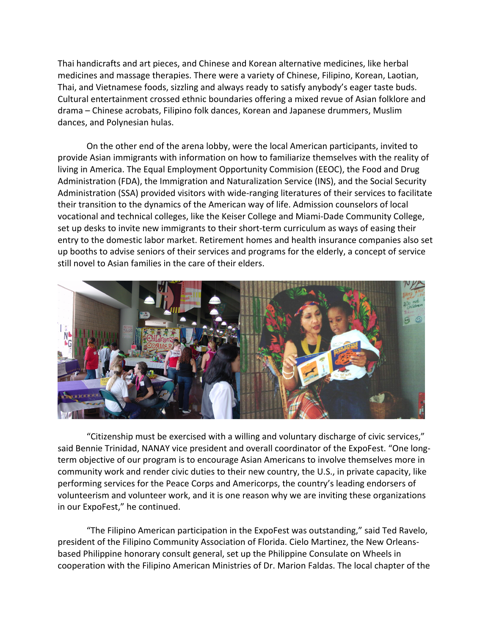Thai handicrafts and art pieces, and Chinese and Korean alternative medicines, like herbal medicines and massage therapies. There were a variety of Chinese, Filipino, Korean, Laotian, Thai, and Vietnamese foods, sizzling and always ready to satisfy anybody's eager taste buds. Cultural entertainment crossed ethnic boundaries offering a mixed revue of Asian folklore and drama – Chinese acrobats, Filipino folk dances, Korean and Japanese drummers, Muslim dances, and Polynesian hulas.

On the other end of the arena lobby, were the local American participants, invited to provide Asian immigrants with information on how to familiarize themselves with the reality of living in America. The Equal Employment Opportunity Commision (EEOC), the Food and Drug Administration (FDA), the Immigration and Naturalization Service (INS), and the Social Security Administration (SSA) provided visitors with wide-ranging literatures of their services to facilitate their transition to the dynamics of the American way of life. Admission counselors of local vocational and technical colleges, like the Keiser College and Miami-Dade Community College, set up desks to invite new immigrants to their short-term curriculum as ways of easing their entry to the domestic labor market. Retirement homes and health insurance companies also set up booths to advise seniors of their services and programs for the elderly, a concept of service still novel to Asian families in the care of their elders.



"Citizenship must be exercised with a willing and voluntary discharge of civic services," said Bennie Trinidad, NANAY vice president and overall coordinator of the ExpoFest. "One longterm objective of our program is to encourage Asian Americans to involve themselves more in community work and render civic duties to their new country, the U.S., in private capacity, like performing services for the Peace Corps and Americorps, the country's leading endorsers of volunteerism and volunteer work, and it is one reason why we are inviting these organizations in our ExpoFest," he continued.

"The Filipino American participation in the ExpoFest was outstanding," said Ted Ravelo, president of the Filipino Community Association of Florida. Cielo Martinez, the New Orleansbased Philippine honorary consult general, set up the Philippine Consulate on Wheels in cooperation with the Filipino American Ministries of Dr. Marion Faldas. The local chapter of the